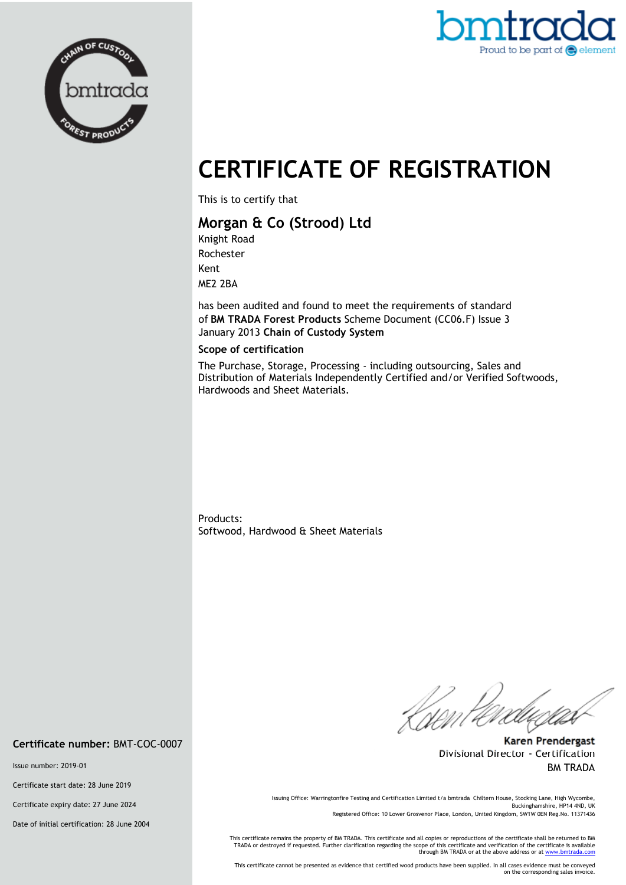



# **CERTIFICATE OF REGISTRATION**

This is to certify that

## **Morgan & Co (Strood) Ltd**

Knight Road Rochester Kent ME2 2BA

has been audited and found to meet the requirements of standard of **BM TRADA Forest Products** Scheme Document (CC06.F) Issue 3 January 2013 **Chain of Custody System** 

#### **Scope of certification**

The Purchase, Storage, Processing - including outsourcing, Sales and Distribution of Materials Independently Certified and/or Verified Softwoods, Hardwoods and Sheet Materials.

Products: Softwood, Hardwood & Sheet Materials

*Ri*rent e

**Karen Prendergast** Divisional Director - Certification BM TRADA

Issuing Office: Warringtonfire Testing and Certification Limited t/a bmtrada Chiltern House, Stocking Lane, High Wycombe, Buckinghamshire, HP14 4ND, UK Registered Office: 10 Lower Grosvenor Place, London, United Kingdom, SW1W 0EN Reg.No. 11371436

This certificate remains the property of BM TRADA. This certificate and all copies or reproductions of the certificate shall be returned to BM<br>TRADA or destroyed if requested. Further clarification regarding the scope of t

This certificate cannot be presented as evidence that certified wood products have been supplied. In all cases evidence must be conveyed on the corresponding sales invoice.

**Certificate number:** BMT-COC-0007

Issue number: 2019-01

Certificate start date: 28 June 2019

Certificate expiry date: 27 June 2024

Date of initial certification: 28 June 2004